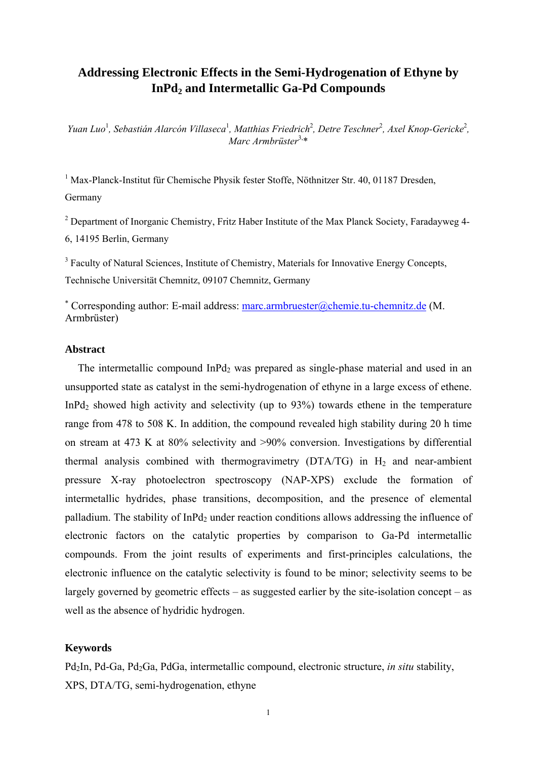# **Addressing Electronic Effects in the Semi-Hydrogenation of Ethyne by**  InPd<sub>2</sub> and Intermetallic Ga-Pd Compounds

*Yuan Luo<sup>1</sup>, Sebastián Alarcón Villaseca<sup>1</sup>, Matthias Friedrich<sup>2</sup>, Detre Teschner<sup>2</sup>, Axel Knop-Gericke<sup>2</sup>, Marc Armbrüster*3,\*

<sup>1</sup> Max-Planck-Institut für Chemische Physik fester Stoffe, Nöthnitzer Str. 40, 01187 Dresden, Germany

<sup>2</sup> Department of Inorganic Chemistry, Fritz Haber Institute of the Max Planck Society, Faradayweg 4-6, 14195 Berlin, Germany

<sup>3</sup> Faculty of Natural Sciences, Institute of Chemistry, Materials for Innovative Energy Concepts, Technische Universität Chemnitz, 09107 Chemnitz, Germany

 Corresponding author: E-mail address: marc.armbruester@chemie.tu-chemnitz.de (M. Armbrüster)

## **Abstract**

The intermetallic compound  $InPd<sub>2</sub>$  was prepared as single-phase material and used in an unsupported state as catalyst in the semi-hydrogenation of ethyne in a large excess of ethene. InPd<sub>2</sub> showed high activity and selectivity (up to  $93\%$ ) towards ethene in the temperature range from 478 to 508 K. In addition, the compound revealed high stability during 20 h time on stream at 473 K at 80% selectivity and >90% conversion. Investigations by differential thermal analysis combined with thermogravimetry  $(DTA/TG)$  in  $H<sub>2</sub>$  and near-ambient pressure X-ray photoelectron spectroscopy (NAP-XPS) exclude the formation of intermetallic hydrides, phase transitions, decomposition, and the presence of elemental palladium. The stability of  $InPd<sub>2</sub>$  under reaction conditions allows addressing the influence of electronic factors on the catalytic properties by comparison to Ga-Pd intermetallic compounds. From the joint results of experiments and first-principles calculations, the electronic influence on the catalytic selectivity is found to be minor; selectivity seems to be largely governed by geometric effects – as suggested earlier by the site-isolation concept – as well as the absence of hydridic hydrogen.

### **Keywords**

Pd2In, Pd-Ga, Pd2Ga, PdGa, intermetallic compound, electronic structure, *in situ* stability, XPS, DTA/TG, semi-hydrogenation, ethyne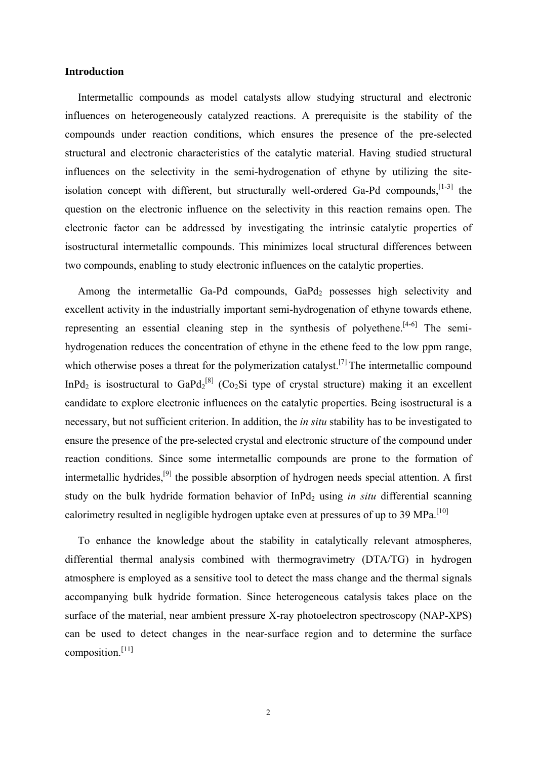## **Introduction**

Intermetallic compounds as model catalysts allow studying structural and electronic influences on heterogeneously catalyzed reactions. A prerequisite is the stability of the compounds under reaction conditions, which ensures the presence of the pre-selected structural and electronic characteristics of the catalytic material. Having studied structural influences on the selectivity in the semi-hydrogenation of ethyne by utilizing the siteisolation concept with different, but structurally well-ordered Ga-Pd compounds, [1-3] the question on the electronic influence on the selectivity in this reaction remains open. The electronic factor can be addressed by investigating the intrinsic catalytic properties of isostructural intermetallic compounds. This minimizes local structural differences between two compounds, enabling to study electronic influences on the catalytic properties.

Among the intermetallic Ga-Pd compounds,  $GaPd<sub>2</sub>$  possesses high selectivity and excellent activity in the industrially important semi-hydrogenation of ethyne towards ethene, representing an essential cleaning step in the synthesis of polyethene.<sup>[4-6]</sup> The semihydrogenation reduces the concentration of ethyne in the ethene feed to the low ppm range, which otherwise poses a threat for the polymerization catalyst.<sup>[7]</sup> The intermetallic compound InPd<sub>2</sub> is isostructural to GaPd<sub>2</sub><sup>[8]</sup> (Co<sub>2</sub>Si type of crystal structure) making it an excellent candidate to explore electronic influences on the catalytic properties. Being isostructural is a necessary, but not sufficient criterion. In addition, the *in situ* stability has to be investigated to ensure the presence of the pre-selected crystal and electronic structure of the compound under reaction conditions. Since some intermetallic compounds are prone to the formation of intermetallic hydrides,[9] the possible absorption of hydrogen needs special attention. A first study on the bulk hydride formation behavior of InPd<sub>2</sub> using *in situ* differential scanning calorimetry resulted in negligible hydrogen uptake even at pressures of up to 39 MPa.<sup>[10]</sup>

To enhance the knowledge about the stability in catalytically relevant atmospheres, differential thermal analysis combined with thermogravimetry (DTA/TG) in hydrogen atmosphere is employed as a sensitive tool to detect the mass change and the thermal signals accompanying bulk hydride formation. Since heterogeneous catalysis takes place on the surface of the material, near ambient pressure X-ray photoelectron spectroscopy (NAP-XPS) can be used to detect changes in the near-surface region and to determine the surface composition.[11]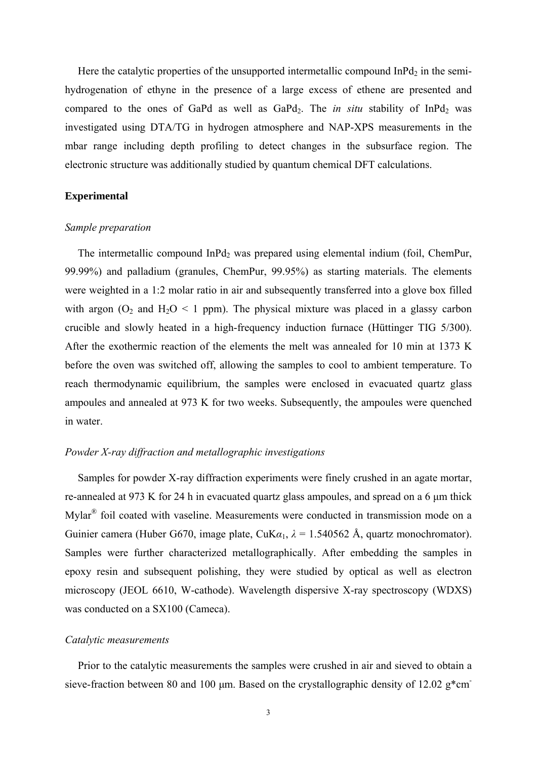Here the catalytic properties of the unsupported intermetallic compound  $InPd<sub>2</sub>$  in the semihydrogenation of ethyne in the presence of a large excess of ethene are presented and compared to the ones of GaPd as well as  $GaPd<sub>2</sub>$ . The *in situ* stability of  $InPd<sub>2</sub>$  was investigated using DTA/TG in hydrogen atmosphere and NAP-XPS measurements in the mbar range including depth profiling to detect changes in the subsurface region. The electronic structure was additionally studied by quantum chemical DFT calculations.

# **Experimental**

#### *Sample preparation*

The intermetallic compound InPd<sub>2</sub> was prepared using elemental indium (foil, ChemPur, 99.99%) and palladium (granules, ChemPur, 99.95%) as starting materials. The elements were weighted in a 1:2 molar ratio in air and subsequently transferred into a glove box filled with argon  $(O_2$  and  $H_2O < 1$  ppm). The physical mixture was placed in a glassy carbon crucible and slowly heated in a high-frequency induction furnace (Hüttinger TIG 5/300). After the exothermic reaction of the elements the melt was annealed for 10 min at 1373 K before the oven was switched off, allowing the samples to cool to ambient temperature. To reach thermodynamic equilibrium, the samples were enclosed in evacuated quartz glass ampoules and annealed at 973 K for two weeks. Subsequently, the ampoules were quenched in water.

## *Powder X-ray diffraction and metallographic investigations*

Samples for powder X-ray diffraction experiments were finely crushed in an agate mortar, re-annealed at 973 K for 24 h in evacuated quartz glass ampoules, and spread on a 6 μm thick Mylar® foil coated with vaseline. Measurements were conducted in transmission mode on a Guinier camera (Huber G670, image plate, CuK $\alpha_1$ ,  $\lambda = 1.540562$  Å, quartz monochromator). Samples were further characterized metallographically. After embedding the samples in epoxy resin and subsequent polishing, they were studied by optical as well as electron microscopy (JEOL 6610, W-cathode). Wavelength dispersive X-ray spectroscopy (WDXS) was conducted on a SX100 (Cameca).

### *Catalytic measurements*

Prior to the catalytic measurements the samples were crushed in air and sieved to obtain a sieve-fraction between 80 and 100  $\mu$ m. Based on the crystallographic density of 12.02 g<sup>\*</sup>cm<sup>-</sup>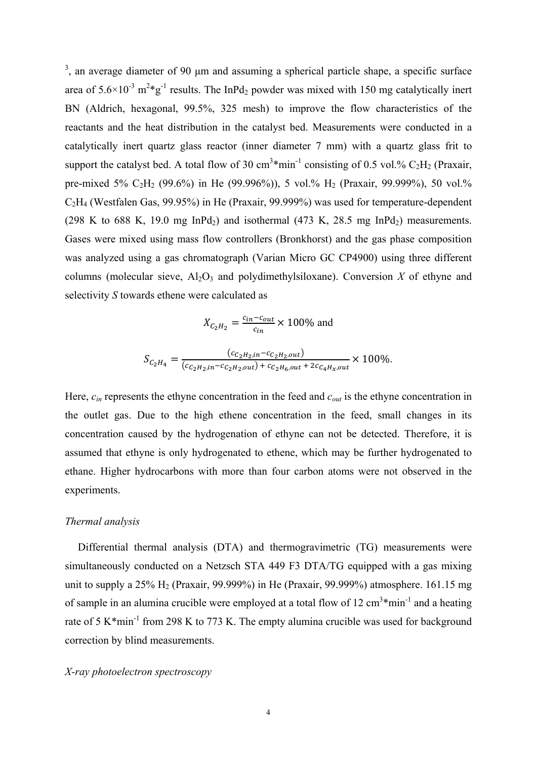$3$ , an average diameter of 90  $\mu$ m and assuming a spherical particle shape, a specific surface area of  $5.6 \times 10^{-3}$  m<sup>2</sup>\*g<sup>-1</sup> results. The InPd<sub>2</sub> powder was mixed with 150 mg catalytically inert BN (Aldrich, hexagonal, 99.5%, 325 mesh) to improve the flow characteristics of the reactants and the heat distribution in the catalyst bed. Measurements were conducted in a catalytically inert quartz glass reactor (inner diameter 7 mm) with a quartz glass frit to support the catalyst bed. A total flow of 30  $cm<sup>3</sup>$ \*min<sup>-1</sup> consisting of 0.5 vol.% C<sub>2</sub>H<sub>2</sub> (Praxair, pre-mixed 5% C<sub>2</sub>H<sub>2</sub> (99.6%) in He (99.996%)), 5 vol.% H<sub>2</sub> (Praxair, 99.999%), 50 vol.% C2H4 (Westfalen Gas, 99.95%) in He (Praxair, 99.999%) was used for temperature-dependent (298 K to 688 K, 19.0 mg InPd<sub>2</sub>) and isothermal (473 K, 28.5 mg InPd<sub>2</sub>) measurements. Gases were mixed using mass flow controllers (Bronkhorst) and the gas phase composition was analyzed using a gas chromatograph (Varian Micro GC CP4900) using three different columns (molecular sieve,  $A\bar{A}_2O_3$  and polydimethylsiloxane). Conversion X of ethyne and selectivity *S* towards ethene were calculated as

$$
X_{C_2H_2} = \frac{c_{in} - c_{out}}{c_{in}} \times 100\%
$$
 and

$$
S_{C_2H_4} = \frac{(c_{C_2H_2,in} - c_{C_2H_2,out})}{(c_{C_2H_2,in} - c_{C_2H_2,out}) + c_{C_2H_6,out} + 2c_{C_4H_3,out}} \times 100\%.
$$

Here,  $c_{in}$  represents the ethyne concentration in the feed and  $c_{out}$  is the ethyne concentration in the outlet gas. Due to the high ethene concentration in the feed, small changes in its concentration caused by the hydrogenation of ethyne can not be detected. Therefore, it is assumed that ethyne is only hydrogenated to ethene, which may be further hydrogenated to ethane. Higher hydrocarbons with more than four carbon atoms were not observed in the experiments.

## *Thermal analysis*

Differential thermal analysis (DTA) and thermogravimetric (TG) measurements were simultaneously conducted on a Netzsch STA 449 F3 DTA/TG equipped with a gas mixing unit to supply a  $25\%$  H<sub>2</sub> (Praxair, 99.999%) in He (Praxair, 99.999%) atmosphere. 161.15 mg of sample in an alumina crucible were employed at a total flow of 12  $\text{cm}^3$ \*min<sup>-1</sup> and a heating rate of 5 K\*min<sup>-1</sup> from 298 K to 773 K. The empty alumina crucible was used for background correction by blind measurements.

# *X-ray photoelectron spectroscopy*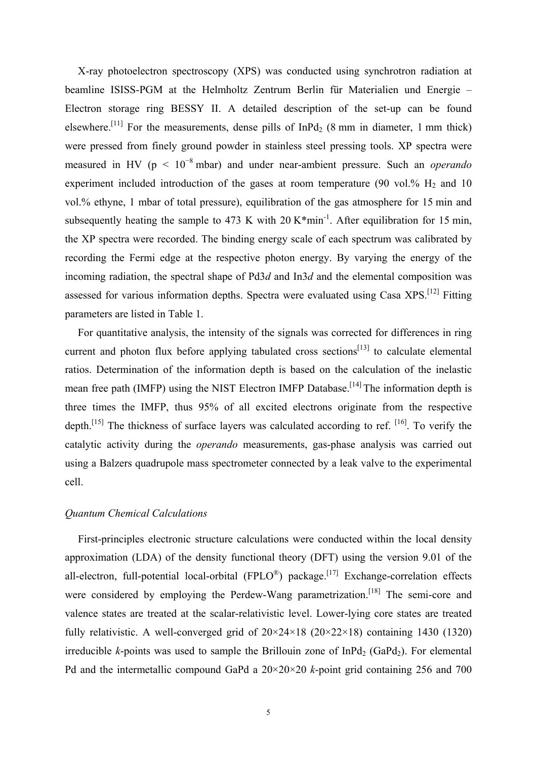X-ray photoelectron spectroscopy (XPS) was conducted using synchrotron radiation at beamline ISISS-PGM at the Helmholtz Zentrum Berlin für Materialien und Energie – Electron storage ring BESSY II. A detailed description of the set-up can be found elsewhere.<sup>[11]</sup> For the measurements, dense pills of  $InPd<sub>2</sub>$  (8 mm in diameter, 1 mm thick) were pressed from finely ground powder in stainless steel pressing tools. XP spectra were measured in HV ( $p < 10^{-8}$  mbar) and under near-ambient pressure. Such an *operando* experiment included introduction of the gases at room temperature (90 vol. $\%$  H<sub>2</sub> and 10 vol.% ethyne, 1 mbar of total pressure), equilibration of the gas atmosphere for 15 min and subsequently heating the sample to 473 K with 20 K\*min<sup>-1</sup>. After equilibration for 15 min, the XP spectra were recorded. The binding energy scale of each spectrum was calibrated by recording the Fermi edge at the respective photon energy. By varying the energy of the incoming radiation, the spectral shape of Pd3*d* and In3*d* and the elemental composition was assessed for various information depths. Spectra were evaluated using Casa XPS.[12] Fitting parameters are listed in Table 1.

For quantitative analysis, the intensity of the signals was corrected for differences in ring current and photon flux before applying tabulated cross sections<sup>[13]</sup> to calculate elemental ratios. Determination of the information depth is based on the calculation of the inelastic mean free path (IMFP) using the NIST Electron IMFP Database.<sup>[14]</sup> The information depth is three times the IMFP, thus 95% of all excited electrons originate from the respective depth.<sup>[15]</sup> The thickness of surface layers was calculated according to ref.  $[16]$ . To verify the catalytic activity during the *operando* measurements, gas-phase analysis was carried out using a Balzers quadrupole mass spectrometer connected by a leak valve to the experimental cell.

# *Quantum Chemical Calculations*

First-principles electronic structure calculations were conducted within the local density approximation (LDA) of the density functional theory (DFT) using the version 9.01 of the all-electron, full-potential local-orbital (FPLO<sup>®</sup>) package.<sup>[17]</sup> Exchange-correlation effects were considered by employing the Perdew-Wang parametrization.<sup>[18]</sup> The semi-core and valence states are treated at the scalar-relativistic level. Lower-lying core states are treated fully relativistic. A well-converged grid of  $20 \times 24 \times 18$  ( $20 \times 22 \times 18$ ) containing 1430 (1320) irreducible *k*-points was used to sample the Brillouin zone of  $InPd<sub>2</sub>$  (GaPd<sub>2</sub>). For elemental Pd and the intermetallic compound GaPd a 20×20×20 *k*-point grid containing 256 and 700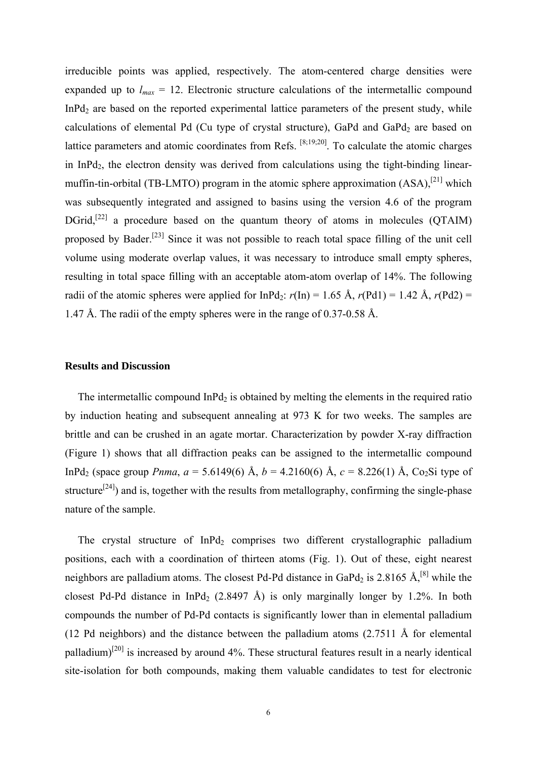irreducible points was applied, respectively. The atom-centered charge densities were expanded up to  $l_{max} = 12$ . Electronic structure calculations of the intermetallic compound InPd<sub>2</sub> are based on the reported experimental lattice parameters of the present study, while calculations of elemental Pd (Cu type of crystal structure), GaPd and  $GaPd<sub>2</sub>$  are based on lattice parameters and atomic coordinates from Refs. [8;19;20]. To calculate the atomic charges in InPd<sub>2</sub>, the electron density was derived from calculations using the tight-binding linearmuffin-tin-orbital (TB-LMTO) program in the atomic sphere approximation  $(ASA)$ ,<sup>[21]</sup> which was subsequently integrated and assigned to basins using the version 4.6 of the program DGrid,<sup>[22]</sup> a procedure based on the quantum theory of atoms in molecules (QTAIM) proposed by Bader.[23] Since it was not possible to reach total space filling of the unit cell volume using moderate overlap values, it was necessary to introduce small empty spheres, resulting in total space filling with an acceptable atom-atom overlap of 14%. The following radii of the atomic spheres were applied for  $InPd_2$ :  $r(In) = 1.65$  Å,  $r(Pd1) = 1.42$  Å,  $r(Pd2) =$ 1.47 Å. The radii of the empty spheres were in the range of 0.37-0.58 Å.

### **Results and Discussion**

The intermetallic compound  $InPd<sub>2</sub>$  is obtained by melting the elements in the required ratio by induction heating and subsequent annealing at 973 K for two weeks. The samples are brittle and can be crushed in an agate mortar. Characterization by powder X-ray diffraction (Figure 1) shows that all diffraction peaks can be assigned to the intermetallic compound InPd<sub>2</sub> (space group *Pnma*,  $a = 5.6149(6)$  Å,  $b = 4.2160(6)$  Å,  $c = 8.226(1)$  Å, Co<sub>2</sub>Si type of structure<sup>[24]</sup>) and is, together with the results from metallography, confirming the single-phase nature of the sample.

The crystal structure of  $InPd<sub>2</sub>$  comprises two different crystallographic palladium positions, each with a coordination of thirteen atoms (Fig. 1). Out of these, eight nearest neighbors are palladium atoms. The closest Pd-Pd distance in GaPd<sub>2</sub> is 2.8165 Å,<sup>[8]</sup> while the closest Pd-Pd distance in InPd<sub>2</sub> (2.8497 Å) is only marginally longer by 1.2%. In both compounds the number of Pd-Pd contacts is significantly lower than in elemental palladium (12 Pd neighbors) and the distance between the palladium atoms (2.7511 Å for elemental palladium)<sup>[20]</sup> is increased by around 4%. These structural features result in a nearly identical site-isolation for both compounds, making them valuable candidates to test for electronic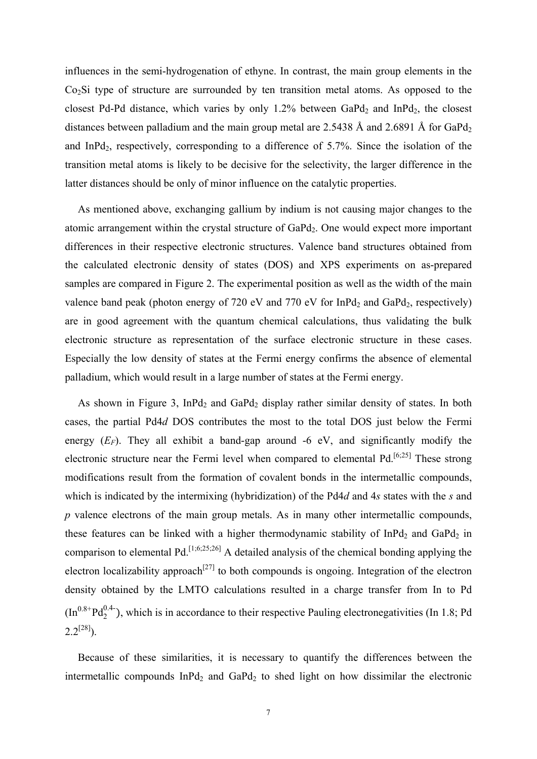influences in the semi-hydrogenation of ethyne. In contrast, the main group elements in the Co<sub>2</sub>Si type of structure are surrounded by ten transition metal atoms. As opposed to the closest Pd-Pd distance, which varies by only 1.2% between  $GaPd<sub>2</sub>$  and  $InPd<sub>2</sub>$ , the closest distances between palladium and the main group metal are 2.5438 Å and 2.6891 Å for GaPd<sub>2</sub> and InPd<sub>2</sub>, respectively, corresponding to a difference of  $5.7\%$ . Since the isolation of the transition metal atoms is likely to be decisive for the selectivity, the larger difference in the latter distances should be only of minor influence on the catalytic properties.

As mentioned above, exchanging gallium by indium is not causing major changes to the atomic arrangement within the crystal structure of  $GaPd<sub>2</sub>$ . One would expect more important differences in their respective electronic structures. Valence band structures obtained from the calculated electronic density of states (DOS) and XPS experiments on as-prepared samples are compared in Figure 2. The experimental position as well as the width of the main valence band peak (photon energy of 720 eV and 770 eV for InPd<sub>2</sub> and GaPd<sub>2</sub>, respectively) are in good agreement with the quantum chemical calculations, thus validating the bulk electronic structure as representation of the surface electronic structure in these cases. Especially the low density of states at the Fermi energy confirms the absence of elemental palladium, which would result in a large number of states at the Fermi energy.

As shown in Figure 3, InPd<sub>2</sub> and GaPd<sub>2</sub> display rather similar density of states. In both cases, the partial Pd4*d* DOS contributes the most to the total DOS just below the Fermi energy  $(E_F)$ . They all exhibit a band-gap around -6 eV, and significantly modify the electronic structure near the Fermi level when compared to elemental  $Pd<sub>1</sub>$ <sup>[6;25]</sup> These strong modifications result from the formation of covalent bonds in the intermetallic compounds, which is indicated by the intermixing (hybridization) of the Pd4*d* and 4*s* states with the *s* and *p* valence electrons of the main group metals. As in many other intermetallic compounds, these features can be linked with a higher thermodynamic stability of  $InPd<sub>2</sub>$  and  $GaPd<sub>2</sub>$  in comparison to elemental Pd.[1;6;25;26] A detailed analysis of the chemical bonding applying the electron localizability approach<sup>[27]</sup> to both compounds is ongoing. Integration of the electron density obtained by the LMTO calculations resulted in a charge transfer from In to Pd  $(Im^{0.8+}Pd_2^{0.4-})$ , which is in accordance to their respective Pauling electronegativities (In 1.8; Pd  $2.2^{[28]}$ ).

Because of these similarities, it is necessary to quantify the differences between the intermetallic compounds  $InPd<sub>2</sub>$  and  $GaPd<sub>2</sub>$  to shed light on how dissimilar the electronic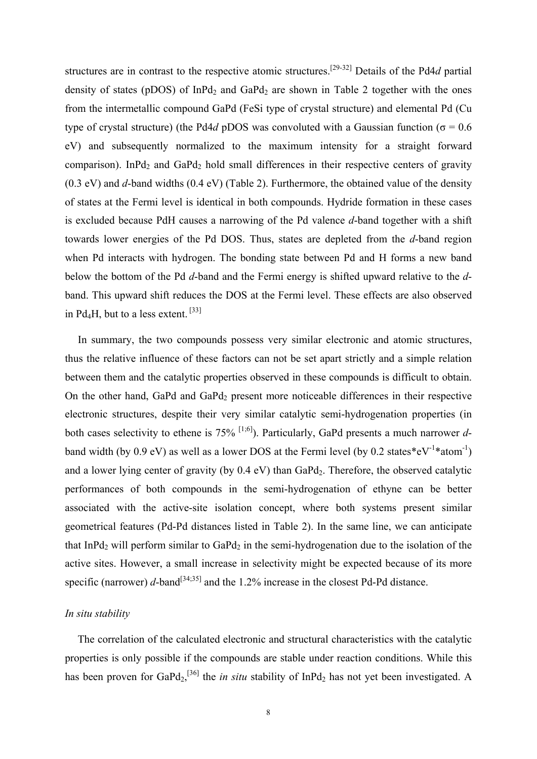structures are in contrast to the respective atomic structures.[29-32] Details of the Pd4*d* partial density of states (pDOS) of InPd<sub>2</sub> and GaPd<sub>2</sub> are shown in Table 2 together with the ones from the intermetallic compound GaPd (FeSi type of crystal structure) and elemental Pd (Cu type of crystal structure) (the Pd4*d* pDOS was convoluted with a Gaussian function ( $\sigma$  = 0.6 eV) and subsequently normalized to the maximum intensity for a straight forward comparison). InPd<sub>2</sub> and GaPd<sub>2</sub> hold small differences in their respective centers of gravity (0.3 eV) and *d*-band widths (0.4 eV) (Table 2). Furthermore, the obtained value of the density of states at the Fermi level is identical in both compounds. Hydride formation in these cases is excluded because PdH causes a narrowing of the Pd valence *d*-band together with a shift towards lower energies of the Pd DOS. Thus, states are depleted from the *d*-band region when Pd interacts with hydrogen. The bonding state between Pd and H forms a new band below the bottom of the Pd *d*-band and the Fermi energy is shifted upward relative to the *d*band. This upward shift reduces the DOS at the Fermi level. These effects are also observed in Pd<sub>4</sub>H, but to a less extent.  $[33]$ 

In summary, the two compounds possess very similar electronic and atomic structures, thus the relative influence of these factors can not be set apart strictly and a simple relation between them and the catalytic properties observed in these compounds is difficult to obtain. On the other hand, GaPd and GaPd<sub>2</sub> present more noticeable differences in their respective electronic structures, despite their very similar catalytic semi-hydrogenation properties (in both cases selectivity to ethene is  $75\%$  <sup>[1;6]</sup>). Particularly, GaPd presents a much narrower *d*band width (by 0.9 eV) as well as a lower DOS at the Fermi level (by 0.2 states\*eV<sup>-1\*</sup>atom<sup>-1</sup>) and a lower lying center of gravity (by  $0.4 \text{ eV}$ ) than GaPd<sub>2</sub>. Therefore, the observed catalytic performances of both compounds in the semi-hydrogenation of ethyne can be better associated with the active-site isolation concept, where both systems present similar geometrical features (Pd-Pd distances listed in Table 2). In the same line, we can anticipate that InPd<sub>2</sub> will perform similar to GaPd<sub>2</sub> in the semi-hydrogenation due to the isolation of the active sites. However, a small increase in selectivity might be expected because of its more specific (narrower)  $d$ -band<sup>[34;35]</sup> and the 1.2% increase in the closest Pd-Pd distance.

## *In situ stability*

The correlation of the calculated electronic and structural characteristics with the catalytic properties is only possible if the compounds are stable under reaction conditions. While this has been proven for  $GaPd_2$ ,<sup>[36]</sup> the *in situ* stability of InPd<sub>2</sub> has not yet been investigated. A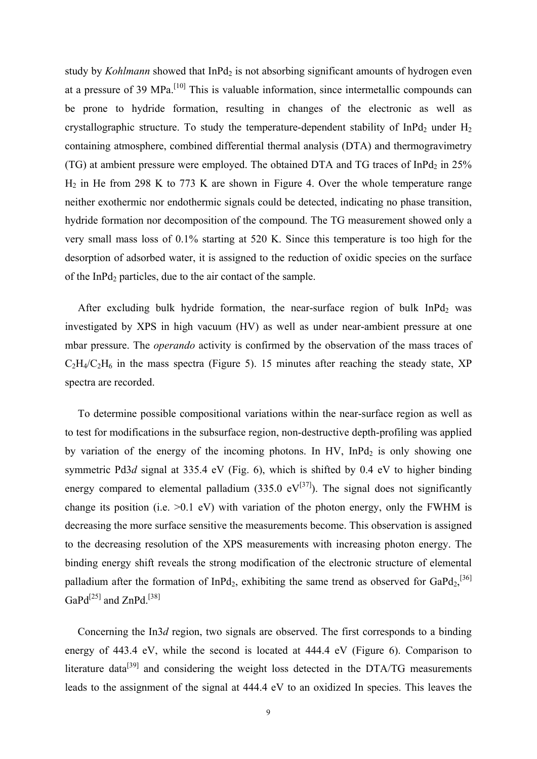study by *Kohlmann* showed that InPd<sub>2</sub> is not absorbing significant amounts of hydrogen even at a pressure of 39 MPa.<sup>[10]</sup> This is valuable information, since intermetallic compounds can be prone to hydride formation, resulting in changes of the electronic as well as crystallographic structure. To study the temperature-dependent stability of  $InPd<sub>2</sub>$  under  $H<sub>2</sub>$ containing atmosphere, combined differential thermal analysis (DTA) and thermogravimetry (TG) at ambient pressure were employed. The obtained DTA and TG traces of InPd<sub>2</sub> in  $25\%$  $H<sub>2</sub>$  in He from 298 K to 773 K are shown in Figure 4. Over the whole temperature range neither exothermic nor endothermic signals could be detected, indicating no phase transition, hydride formation nor decomposition of the compound. The TG measurement showed only a very small mass loss of 0.1% starting at 520 K. Since this temperature is too high for the desorption of adsorbed water, it is assigned to the reduction of oxidic species on the surface of the InPd<sub>2</sub> particles, due to the air contact of the sample.

After excluding bulk hydride formation, the near-surface region of bulk  $InPd<sub>2</sub>$  was investigated by XPS in high vacuum (HV) as well as under near-ambient pressure at one mbar pressure. The *operando* activity is confirmed by the observation of the mass traces of  $C_2H_4/C_2H_6$  in the mass spectra (Figure 5). 15 minutes after reaching the steady state, XP spectra are recorded.

To determine possible compositional variations within the near-surface region as well as to test for modifications in the subsurface region, non-destructive depth-profiling was applied by variation of the energy of the incoming photons. In HV, InPd<sub>2</sub> is only showing one symmetric Pd3*d* signal at 335.4 eV (Fig. 6), which is shifted by 0.4 eV to higher binding energy compared to elemental palladium (335.0  $eV^{[37]}$ ). The signal does not significantly change its position (i.e.  $>0.1$  eV) with variation of the photon energy, only the FWHM is decreasing the more surface sensitive the measurements become. This observation is assigned to the decreasing resolution of the XPS measurements with increasing photon energy. The binding energy shift reveals the strong modification of the electronic structure of elemental palladium after the formation of InPd<sub>2</sub>, exhibiting the same trend as observed for GaPd<sub>2</sub>,<sup>[36]</sup> GaPd<sup>[25]</sup> and ZnPd.<sup>[38]</sup>

Concerning the In3*d* region, two signals are observed. The first corresponds to a binding energy of 443.4 eV, while the second is located at 444.4 eV (Figure 6). Comparison to literature data<sup>[39]</sup> and considering the weight loss detected in the DTA/TG measurements leads to the assignment of the signal at 444.4 eV to an oxidized In species. This leaves the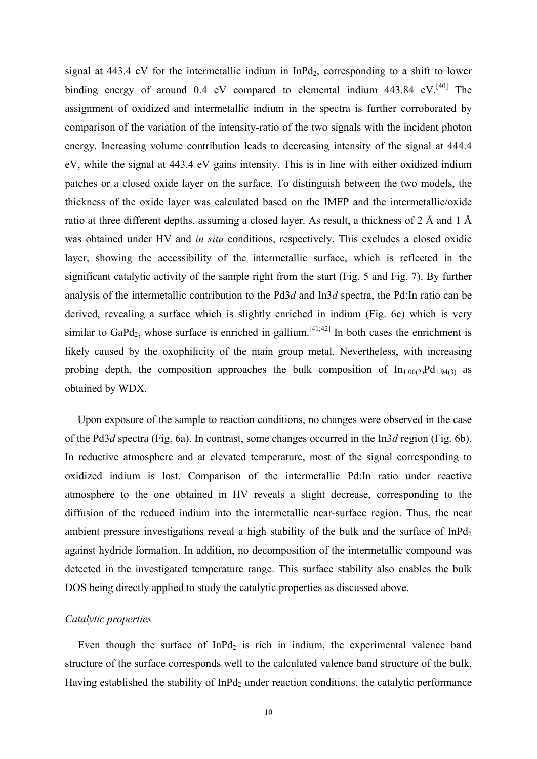signal at  $443.4$  eV for the intermetallic indium in InPd<sub>2</sub>, corresponding to a shift to lower binding energy of around 0.4 eV compared to elemental indium 443.84 eV.<sup>[40]</sup> The assignment of oxidized and intermetallic indium in the spectra is further corroborated by comparison of the variation of the intensity-ratio of the two signals with the incident photon energy. Increasing volume contribution leads to decreasing intensity of the signal at 444.4 eV, while the signal at 443.4 eV gains intensity. This is in line with either oxidized indium patches or a closed oxide layer on the surface. To distinguish between the two models, the thickness of the oxide layer was calculated based on the IMFP and the intermetallic/oxide ratio at three different depths, assuming a closed layer. As result, a thickness of 2 Å and 1 Å was obtained under HV and *in situ* conditions, respectively. This excludes a closed oxidic layer, showing the accessibility of the intermetallic surface, which is reflected in the significant catalytic activity of the sample right from the start (Fig. 5 and Fig. 7). By further analysis of the intermetallic contribution to the Pd3*d* and In3*d* spectra, the Pd:In ratio can be derived, revealing a surface which is slightly enriched in indium (Fig. 6c) which is very similar to GaPd<sub>2</sub>, whose surface is enriched in gallium.<sup>[41;42]</sup> In both cases the enrichment is likely caused by the oxophilicity of the main group metal. Nevertheless, with increasing probing depth, the composition approaches the bulk composition of  $\ln_{1.00(2)}Pd_{1.94(3)}$  as obtained by WDX.

Upon exposure of the sample to reaction conditions, no changes were observed in the case of the Pd3*d* spectra (Fig. 6a). In contrast, some changes occurred in the In3*d* region (Fig. 6b). In reductive atmosphere and at elevated temperature, most of the signal corresponding to oxidized indium is lost. Comparison of the intermetallic Pd:In ratio under reactive atmosphere to the one obtained in HV reveals a slight decrease, corresponding to the diffusion of the reduced indium into the intermetallic near-surface region. Thus, the near ambient pressure investigations reveal a high stability of the bulk and the surface of  $InPd<sub>2</sub>$ against hydride formation. In addition, no decomposition of the intermetallic compound was detected in the investigated temperature range. This surface stability also enables the bulk DOS being directly applied to study the catalytic properties as discussed above.

# *Catalytic properties*

Even though the surface of  $InPd<sub>2</sub>$  is rich in indium, the experimental valence band structure of the surface corresponds well to the calculated valence band structure of the bulk. Having established the stability of InPd<sub>2</sub> under reaction conditions, the catalytic performance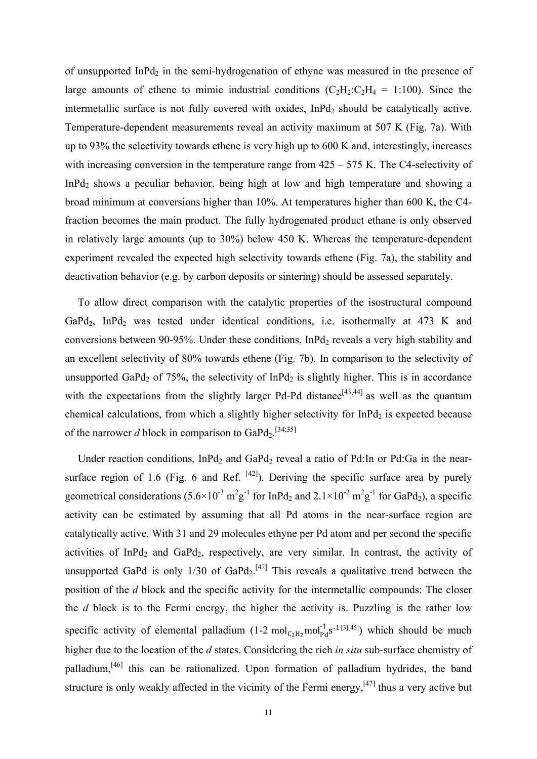of unsupported InPd<sub>2</sub> in the semi-hydrogenation of ethyne was measured in the presence of large amounts of ethene to mimic industrial conditions  $(C_2H_2:C_2H_4 = 1:100)$ . Since the intermetallic surface is not fully covered with oxides,  $InPd<sub>2</sub>$  should be catalytically active. Temperature-dependent measurements reveal an activity maximum at 507 K (Fig. 7a). With up to 93% the selectivity towards ethene is very high up to 600 K and, interestingly, increases with increasing conversion in the temperature range from  $425 - 575$  K. The C4-selectivity of InPd2 shows a peculiar behavior, being high at low and high temperature and showing a broad minimum at conversions higher than 10%. At temperatures higher than 600 K, the C4 fraction becomes the main product. The fully hydrogenated product ethane is only observed in relatively large amounts (up to 30%) below 450 K. Whereas the temperature-dependent experiment revealed the expected high selectivity towards ethene (Fig. 7a), the stability and deactivation behavior (e.g. by carbon deposits or sintering) should be assessed separately.

To allow direct comparison with the catalytic properties of the isostructural compound GaPd<sub>2</sub>, InPd<sub>2</sub> was tested under identical conditions, i.e. isothermally at  $473$  K and conversions between 90-95%. Under these conditions,  $InPd<sub>2</sub>$  reveals a very high stability and an excellent selectivity of 80% towards ethene (Fig. 7b). In comparison to the selectivity of unsupported GaPd<sub>2</sub> of 75%, the selectivity of InPd<sub>2</sub> is slightly higher. This is in accordance with the expectations from the slightly larger Pd-Pd distance<sup>[43,44]</sup> as well as the quantum chemical calculations, from which a slightly higher selectivity for  $InPd<sub>2</sub>$  is expected because of the narrower *d* block in comparison to GaPd<sub>2</sub>.<sup>[34;35]</sup>

Under reaction conditions,  $InPd<sub>2</sub>$  and  $GaPd<sub>2</sub>$  reveal a ratio of Pd:In or Pd:Ga in the nearsurface region of 1.6 (Fig. 6 and Ref.  $[42]$ ). Deriving the specific surface area by purely geometrical considerations  $(5.6 \times 10^{-3} \text{ m}^2 \text{g}^{-1}$  for InPd<sub>2</sub> and  $2.1 \times 10^{-2} \text{ m}^2 \text{g}^{-1}$  for GaPd<sub>2</sub>), a specific activity can be estimated by assuming that all Pd atoms in the near-surface region are catalytically active. With 31 and 29 molecules ethyne per Pd atom and per second the specific activities of InPd<sub>2</sub> and GaPd<sub>2</sub>, respectively, are very similar. In contrast, the activity of unsupported GaPd is only  $1/30$  of GaPd<sub>2</sub>.<sup>[42]</sup> This reveals a qualitative trend between the position of the *d* block and the specific activity for the intermetallic compounds: The closer the *d* block is to the Fermi energy, the higher the activity is. Puzzling is the rather low specific activity of elemental palladium (1-2  $mol_{C_2H_2}mol_{Pd}^{1} s^{-1}$  [3][45]) which should be much higher due to the location of the *d* states. Considering the rich *in situ* sub-surface chemistry of palladium,[46] this can be rationalized. Upon formation of palladium hydrides, the band structure is only weakly affected in the vicinity of the Fermi energy,<sup>[47]</sup> thus a very active but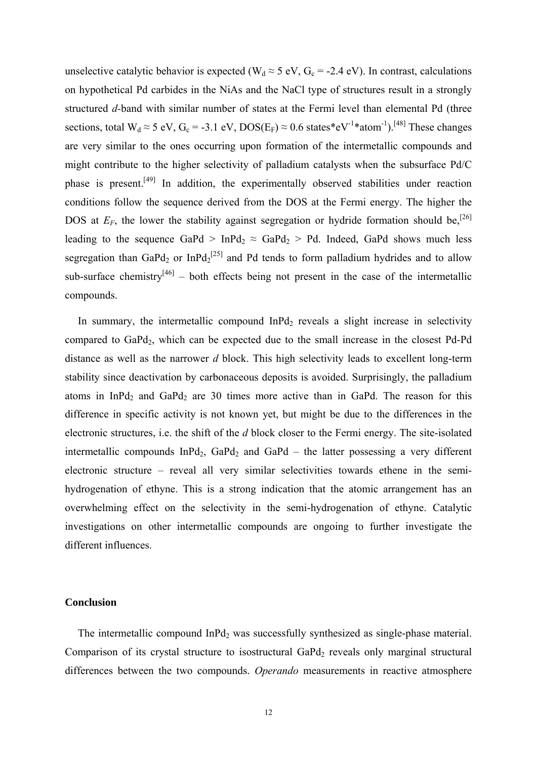unselective catalytic behavior is expected ( $W_d \approx 5$  eV,  $G_c = -2.4$  eV). In contrast, calculations on hypothetical Pd carbides in the NiAs and the NaCl type of structures result in a strongly structured *d-*band with similar number of states at the Fermi level than elemental Pd (three sections, total  $W_d \approx 5$  eV,  $G_c = -3.1$  eV,  $DOS(E_F) \approx 0.6$  states\*eV<sup>-1\*</sup>atom<sup>-1</sup>).<sup>[48]</sup> These changes are very similar to the ones occurring upon formation of the intermetallic compounds and might contribute to the higher selectivity of palladium catalysts when the subsurface Pd/C phase is present.<sup>[49]</sup> In addition, the experimentally observed stabilities under reaction conditions follow the sequence derived from the DOS at the Fermi energy. The higher the DOS at  $E_F$ , the lower the stability against segregation or hydride formation should be,<sup>[26]</sup> leading to the sequence GaPd > InPd<sub>2</sub>  $\approx$  GaPd<sub>2</sub> > Pd. Indeed, GaPd shows much less segregation than GaPd<sub>2</sub> or InPd<sub>2</sub><sup>[25]</sup> and Pd tends to form palladium hydrides and to allow sub-surface chemistry<sup>[46]</sup> – both effects being not present in the case of the intermetallic compounds.

In summary, the intermetallic compound  $InPd<sub>2</sub>$  reveals a slight increase in selectivity compared to GaPd<sub>2</sub>, which can be expected due to the small increase in the closest Pd-Pd distance as well as the narrower *d* block. This high selectivity leads to excellent long-term stability since deactivation by carbonaceous deposits is avoided. Surprisingly, the palladium atoms in InPd<sub>2</sub> and GaPd<sub>2</sub> are 30 times more active than in GaPd. The reason for this difference in specific activity is not known yet, but might be due to the differences in the electronic structures, i.e. the shift of the *d* block closer to the Fermi energy. The site-isolated intermetallic compounds  $InPd<sub>2</sub>$ ,  $GaPd<sub>2</sub>$  and  $GaPd -$  the latter possessing a very different electronic structure – reveal all very similar selectivities towards ethene in the semihydrogenation of ethyne. This is a strong indication that the atomic arrangement has an overwhelming effect on the selectivity in the semi-hydrogenation of ethyne. Catalytic investigations on other intermetallic compounds are ongoing to further investigate the different influences.

### **Conclusion**

The intermetallic compound InPd<sub>2</sub> was successfully synthesized as single-phase material. Comparison of its crystal structure to isostructural  $GaPd<sub>2</sub>$  reveals only marginal structural differences between the two compounds. *Operando* measurements in reactive atmosphere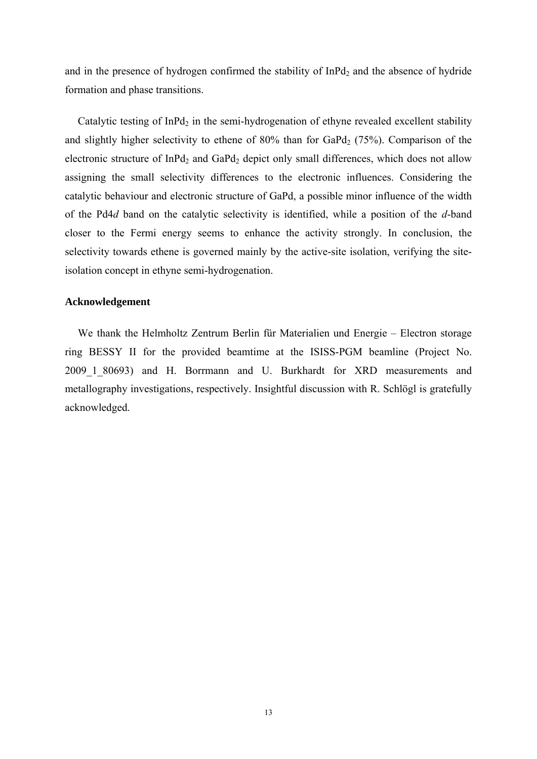and in the presence of hydrogen confirmed the stability of  $InPd<sub>2</sub>$  and the absence of hydride formation and phase transitions.

Catalytic testing of  $InPd<sub>2</sub>$  in the semi-hydrogenation of ethyne revealed excellent stability and slightly higher selectivity to ethene of  $80\%$  than for  $GaPd_2$  (75%). Comparison of the electronic structure of  $InPd<sub>2</sub>$  and  $GaPd<sub>2</sub>$  depict only small differences, which does not allow assigning the small selectivity differences to the electronic influences. Considering the catalytic behaviour and electronic structure of GaPd, a possible minor influence of the width of the Pd4*d* band on the catalytic selectivity is identified, while a position of the *d*-band closer to the Fermi energy seems to enhance the activity strongly. In conclusion, the selectivity towards ethene is governed mainly by the active-site isolation, verifying the siteisolation concept in ethyne semi-hydrogenation.

# **Acknowledgement**

We thank the Helmholtz Zentrum Berlin für Materialien und Energie – Electron storage ring BESSY II for the provided beamtime at the ISISS-PGM beamline (Project No. 2009 1 80693) and H. Borrmann and U. Burkhardt for XRD measurements and metallography investigations, respectively. Insightful discussion with R. Schlögl is gratefully acknowledged.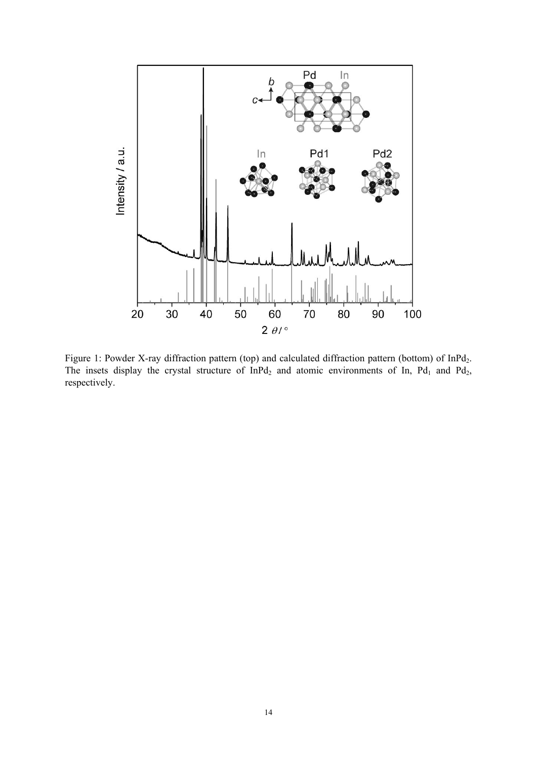

Figure 1: Powder X-ray diffraction pattern (top) and calculated diffraction pattern (bottom) of InPd<sub>2</sub>. The insets display the crystal structure of  $InPd<sub>2</sub>$  and atomic environments of In, Pd<sub>1</sub> and Pd<sub>2</sub>, respectively.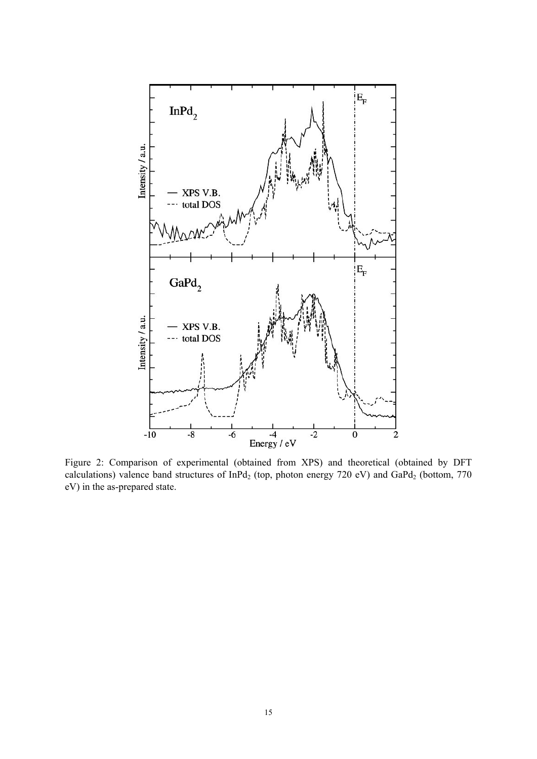

Figure 2: Comparison of experimental (obtained from XPS) and theoretical (obtained by DFT calculations) valence band structures of InPd<sub>2</sub> (top, photon energy 720 eV) and GaPd<sub>2</sub> (bottom, 770 eV) in the as-prepared state.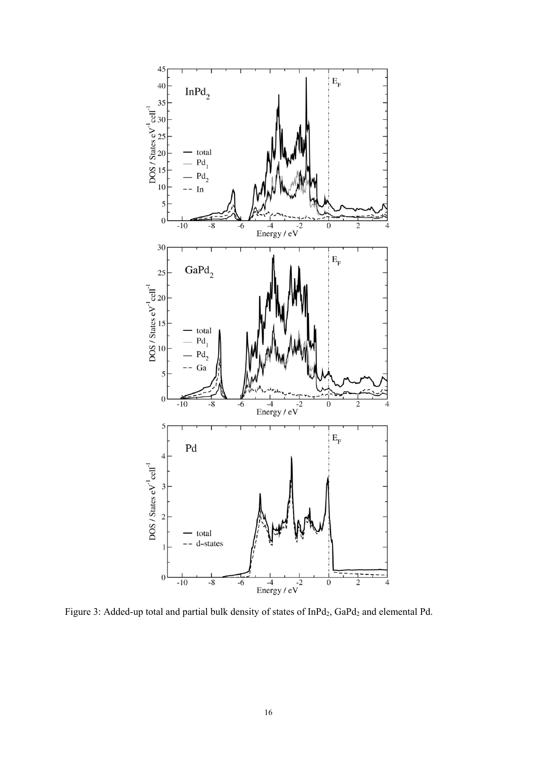

Figure 3: Added-up total and partial bulk density of states of InPd<sub>2</sub>, GaPd<sub>2</sub> and elemental Pd.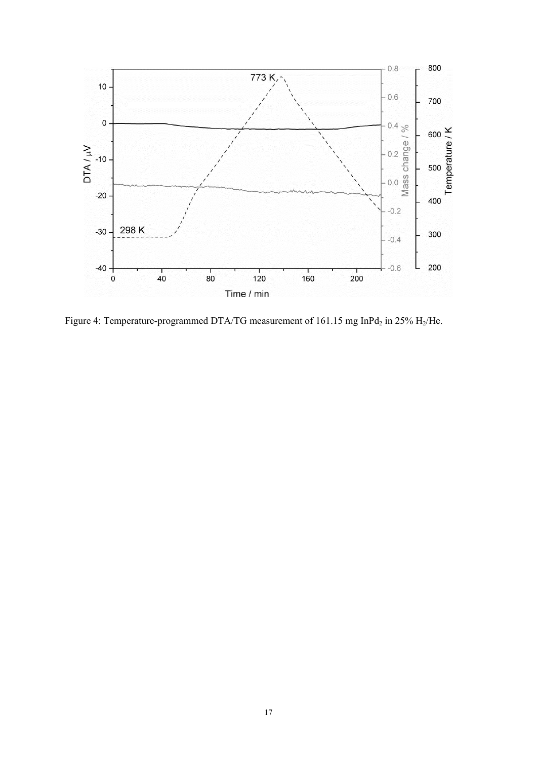

Figure 4: Temperature-programmed DTA/TG measurement of 161.15 mg InPd<sub>2</sub> in 25% H<sub>2</sub>/He.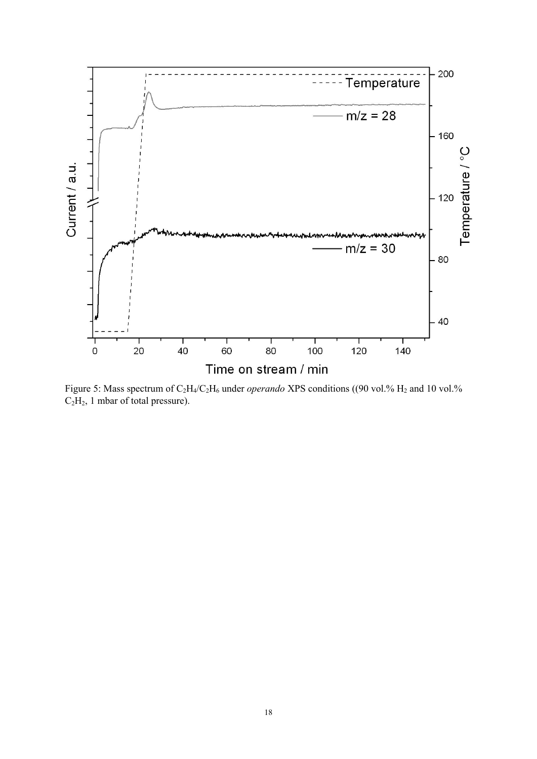

Figure 5: Mass spectrum of C<sub>2</sub>H<sub>4</sub>/C<sub>2</sub>H<sub>6</sub> under *operando* XPS conditions ((90 vol.% H<sub>2</sub> and 10 vol.%) C<sub>2</sub>H<sub>2</sub>, 1 mbar of total pressure).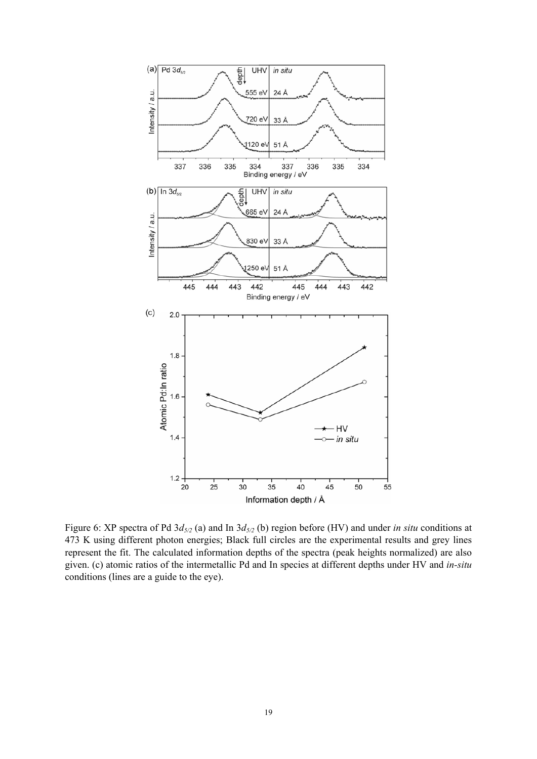

Figure 6: XP spectra of Pd  $3d_{5/2}$  (a) and In  $3d_{5/2}$  (b) region before (HV) and under *in situ* conditions at 473 K using different photon energies; Black full circles are the experimental results and grey lines represent the fit. The calculated information depths of the spectra (peak heights normalized) are also given. (c) atomic ratios of the intermetallic Pd and In species at different depths under HV and *in-situ* conditions (lines are a guide to the eye).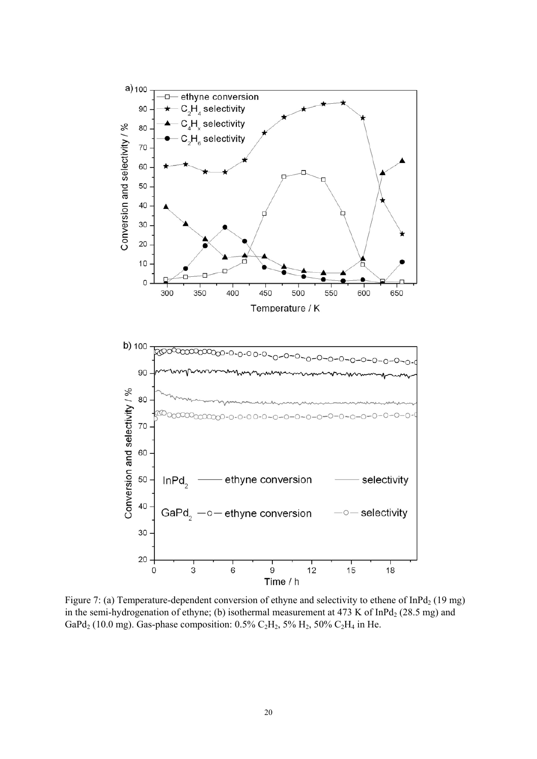

Figure 7: (a) Temperature-dependent conversion of ethyne and selectivity to ethene of  $InPd<sub>2</sub>$  (19 mg) in the semi-hydrogenation of ethyne; (b) isothermal measurement at  $473$  K of InPd<sub>2</sub> (28.5 mg) and GaPd<sub>2</sub> (10.0 mg). Gas-phase composition: 0.5% C<sub>2</sub>H<sub>2</sub>, 5% H<sub>2</sub>, 50% C<sub>2</sub>H<sub>4</sub> in He.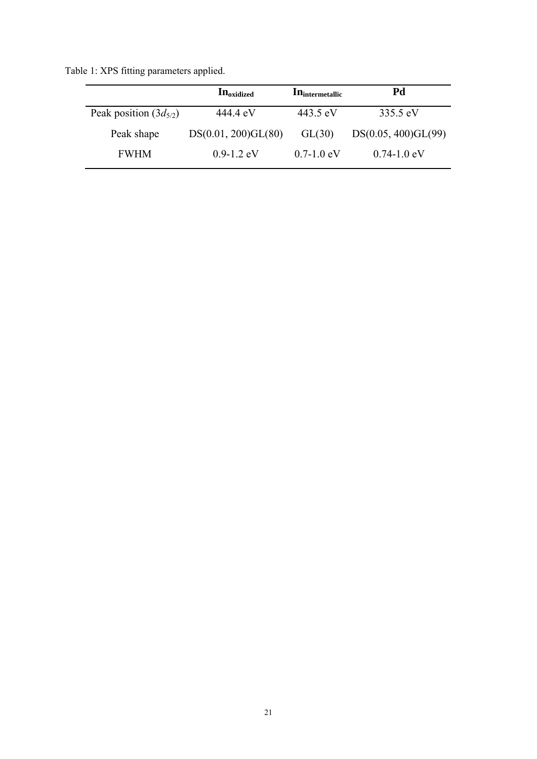Table 1: XPS fitting parameters applied.

|                            | <b>In</b> oxidized  | <b>In</b> intermetallic | Pd                  |  |
|----------------------------|---------------------|-------------------------|---------------------|--|
| Peak position $(3d_{5/2})$ | 444 4 eV            | 443.5 eV                | 335.5 eV            |  |
| Peak shape                 | DS(0.01, 200)GL(80) | GL(30)                  | DS(0.05, 400)GL(99) |  |
| <b>FWHM</b>                | $0.9 - 1.2$ eV      | $0.7 - 1.0$ eV          | $0.74 - 1.0$ eV     |  |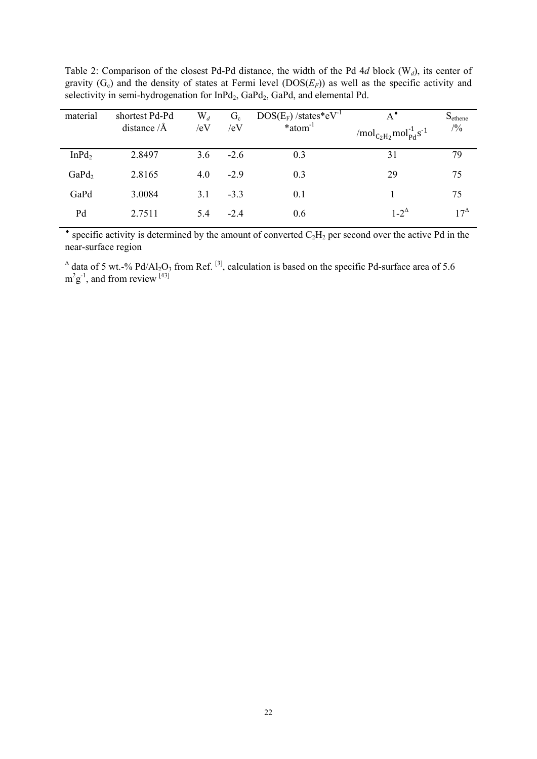| material          | shortest Pd-Pd<br>distance $/$ Å | $\mathrm{W}_d$<br>/eV | $G_c$<br>/eV | $DOS(E_F)$ /states*eV <sup>-1</sup><br>$*atom^{-1}$ | $A^{\bullet}$<br>/mol <sub>C<sub>2</sub>H<sub>2</sub></sub> mol <sub>Pd</sub> s <sup>-1</sup> | $S_{ethene}$<br>/9/0 |
|-------------------|----------------------------------|-----------------------|--------------|-----------------------------------------------------|-----------------------------------------------------------------------------------------------|----------------------|
| InPd <sub>2</sub> | 2.8497                           | 3.6                   | $-2.6$       | 0.3                                                 | 31                                                                                            | 79                   |
| GaPd <sub>2</sub> | 2.8165                           | 4.0                   | $-2.9$       | 0.3                                                 | 29                                                                                            | 75                   |
| GaPd              | 3.0084                           | 3.1                   | $-3.3$       | 0.1                                                 |                                                                                               | 75                   |
| Pd                | 2.7511                           | 5.4                   | $-2.4$       | 0.6                                                 | $1-2^{\Delta}$                                                                                | $17^{\Delta}$        |

Table 2: Comparison of the closest Pd-Pd distance, the width of the Pd 4*d* block (W*d*), its center of gravity  $(G_c)$  and the density of states at Fermi level  $(DOS(E_F))$  as well as the specific activity and selectivity in semi-hydrogenation for  $InPd<sub>2</sub>$ , GaPd<sub>2</sub>, GaPd, and elemental Pd.

 $\bullet$  specific activity is determined by the amount of converted  $C_2H_2$  per second over the active Pd in the near-surface region

 $\triangle$  data of 5 wt.-% Pd/Al<sub>2</sub>O<sub>3</sub> from Ref. <sup>[3]</sup>, calculation is based on the specific Pd-surface area of 5.6  $m^2g^{-1}$ , and from review [43]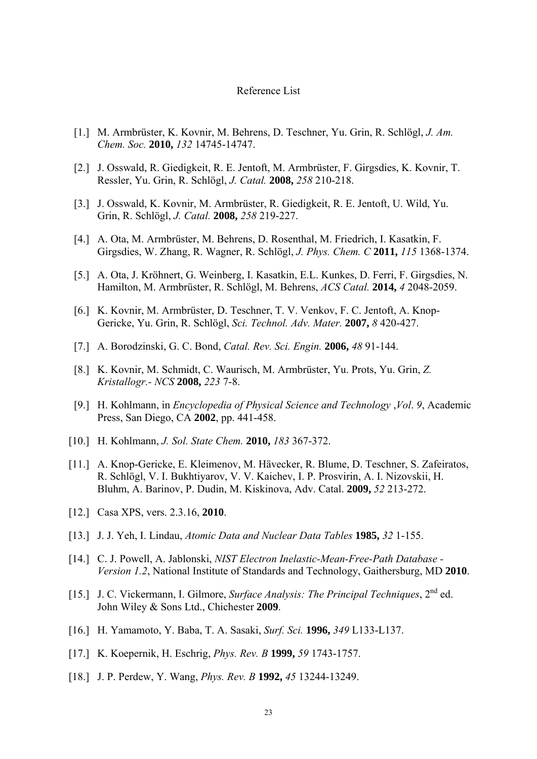#### Reference List

- [1.] M. Armbrüster, K. Kovnir, M. Behrens, D. Teschner, Yu. Grin, R. Schlögl, *J. Am. Chem. Soc.* **2010,** *132* 14745-14747.
- [2.] J. Osswald, R. Giedigkeit, R. E. Jentoft, M. Armbrüster, F. Girgsdies, K. Kovnir, T. Ressler, Yu. Grin, R. Schlögl, *J. Catal.* **2008,** *258* 210-218.
- [3.] J. Osswald, K. Kovnir, M. Armbrüster, R. Giedigkeit, R. E. Jentoft, U. Wild, Yu. Grin, R. Schlögl, *J. Catal.* **2008,** *258* 219-227.
- [4.] A. Ota, M. Armbrüster, M. Behrens, D. Rosenthal, M. Friedrich, I. Kasatkin, F. Girgsdies, W. Zhang, R. Wagner, R. Schlögl, *J. Phys. Chem. C* **2011,** *115* 1368-1374.
- [5.] A. Ota, J. Kröhnert, G. Weinberg, I. Kasatkin, E.L. Kunkes, D. Ferri, F. Girgsdies, N. Hamilton, M. Armbrüster, R. Schlögl, M. Behrens, *ACS Catal.* **2014,** *4* 2048-2059.
- [6.] K. Kovnir, M. Armbrüster, D. Teschner, T. V. Venkov, F. C. Jentoft, A. Knop-Gericke, Yu. Grin, R. Schlögl, *Sci. Technol. Adv. Mater.* **2007,** *8* 420-427.
- [7.] A. Borodzinski, G. C. Bond, *Catal. Rev. Sci. Engin.* **2006,** *48* 91-144.
- [8.] K. Kovnir, M. Schmidt, C. Waurisch, M. Armbrüster, Yu. Prots, Yu. Grin, *Z. Kristallogr.- NCS* **2008,** *223* 7-8.
- [9.] H. Kohlmann, in *Encyclopedia of Physical Science and Technology* ,*Vol*. *9*, Academic Press, San Diego, CA **2002**, pp. 441-458.
- [10.] H. Kohlmann, *J. Sol. State Chem.* **2010,** *183* 367-372.
- [11.] A. Knop-Gericke, E. Kleimenov, M. Hävecker, R. Blume, D. Teschner, S. Zafeiratos, R. Schlögl, V. I. Bukhtiyarov, V. V. Kaichev, I. P. Prosvirin, A. I. Nizovskii, H. Bluhm, A. Barinov, P. Dudin, M. Kiskinova, Adv. Catal. **2009,** *52* 213-272.
- [12.] Casa XPS, vers. 2.3.16, **2010**.
- [13.] J. J. Yeh, I. Lindau, *Atomic Data and Nuclear Data Tables* **1985,** *32* 1-155.
- [14.] C. J. Powell, A. Jablonski, *NIST Electron Inelastic-Mean-Free-Path Database Version 1.2*, National Institute of Standards and Technology, Gaithersburg, MD **2010**.
- [15.] J. C. Vickermann, I. Gilmore, *Surface Analysis: The Principal Techniques*, 2nd ed. John Wiley & Sons Ltd., Chichester **2009**.
- [16.] H. Yamamoto, Y. Baba, T. A. Sasaki, *Surf. Sci.* **1996,** *349* L133-L137.
- [17.] K. Koepernik, H. Eschrig, *Phys. Rev. B* **1999,** *59* 1743-1757.
- [18.] J. P. Perdew, Y. Wang, *Phys. Rev. B* **1992,** *45* 13244-13249.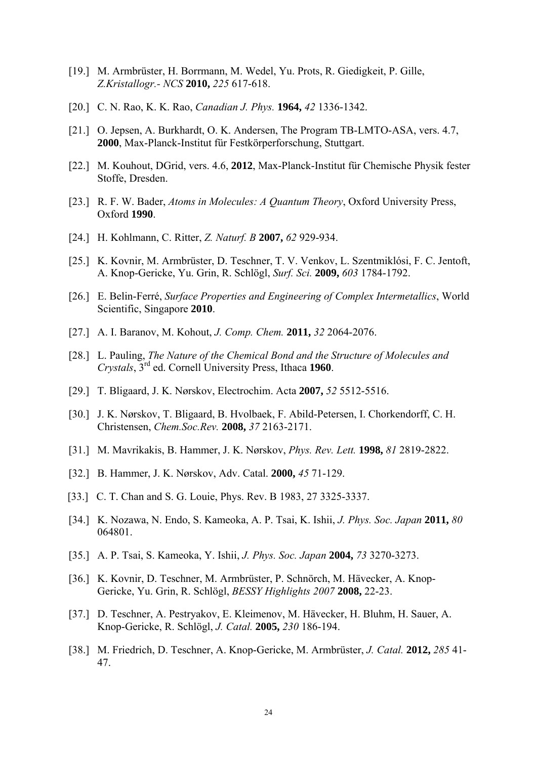- [19.] M. Armbrüster, H. Borrmann, M. Wedel, Yu. Prots, R. Giedigkeit, P. Gille, *Z.Kristallogr.- NCS* **2010,** *225* 617-618.
- [20.] C. N. Rao, K. K. Rao, *Canadian J. Phys.* **1964,** *42* 1336-1342.
- [21.] O. Jepsen, A. Burkhardt, O. K. Andersen, The Program TB-LMTO-ASA, vers. 4.7, **2000**, Max-Planck-Institut für Festkörperforschung, Stuttgart.
- [22.] M. Kouhout, DGrid, vers. 4.6, **2012**, Max-Planck-Institut für Chemische Physik fester Stoffe, Dresden.
- [23.] R. F. W. Bader, *Atoms in Molecules: A Quantum Theory*, Oxford University Press, Oxford **1990**.
- [24.] H. Kohlmann, C. Ritter, *Z. Naturf. B* **2007,** *62* 929-934.
- [25.] K. Kovnir, M. Armbrüster, D. Teschner, T. V. Venkov, L. Szentmiklósi, F. C. Jentoft, A. Knop-Gericke, Yu. Grin, R. Schlögl, *Surf. Sci.* **2009,** *603* 1784-1792.
- [26.] E. Belin-Ferré, *Surface Properties and Engineering of Complex Intermetallics*, World Scientific, Singapore **2010**.
- [27.] A. I. Baranov, M. Kohout, *J. Comp. Chem.* **2011,** *32* 2064-2076.
- [28.] L. Pauling, *The Nature of the Chemical Bond and the Structure of Molecules and Crystals*, 3rd ed. Cornell University Press, Ithaca **1960**.
- [29.] T. Bligaard, J. K. Nørskov, Electrochim. Acta **2007,** *52* 5512-5516.
- [30.] J. K. Nørskov, T. Bligaard, B. Hvolbaek, F. Abild-Petersen, I. Chorkendorff, C. H. Christensen, *Chem.Soc.Rev.* **2008,** *37* 2163-2171.
- [31.] M. Mavrikakis, B. Hammer, J. K. Nørskov, *Phys. Rev. Lett.* **1998,** *81* 2819-2822.
- [32.] B. Hammer, J. K. Nørskov, Adv. Catal. **2000,** *45* 71-129.
- [33.] C. T. Chan and S. G. Louie, Phys. Rev. B 1983, 27 3325-3337.
- [34.] K. Nozawa, N. Endo, S. Kameoka, A. P. Tsai, K. Ishii, *J. Phys. Soc. Japan* **2011,** *80* 064801.
- [35.] A. P. Tsai, S. Kameoka, Y. Ishii, *J. Phys. Soc. Japan* **2004,** *73* 3270-3273.
- [36.] K. Kovnir, D. Teschner, M. Armbrüster, P. Schnörch, M. Hävecker, A. Knop-Gericke, Yu. Grin, R. Schlögl, *BESSY Highlights 2007* **2008,** 22-23.
- [37.] D. Teschner, A. Pestryakov, E. Kleimenov, M. Hävecker, H. Bluhm, H. Sauer, A. Knop-Gericke, R. Schlögl, *J. Catal.* **2005,** *230* 186-194.
- [38.] M. Friedrich, D. Teschner, A. Knop-Gericke, M. Armbrüster, *J. Catal.* **2012,** *285* 41- 47.